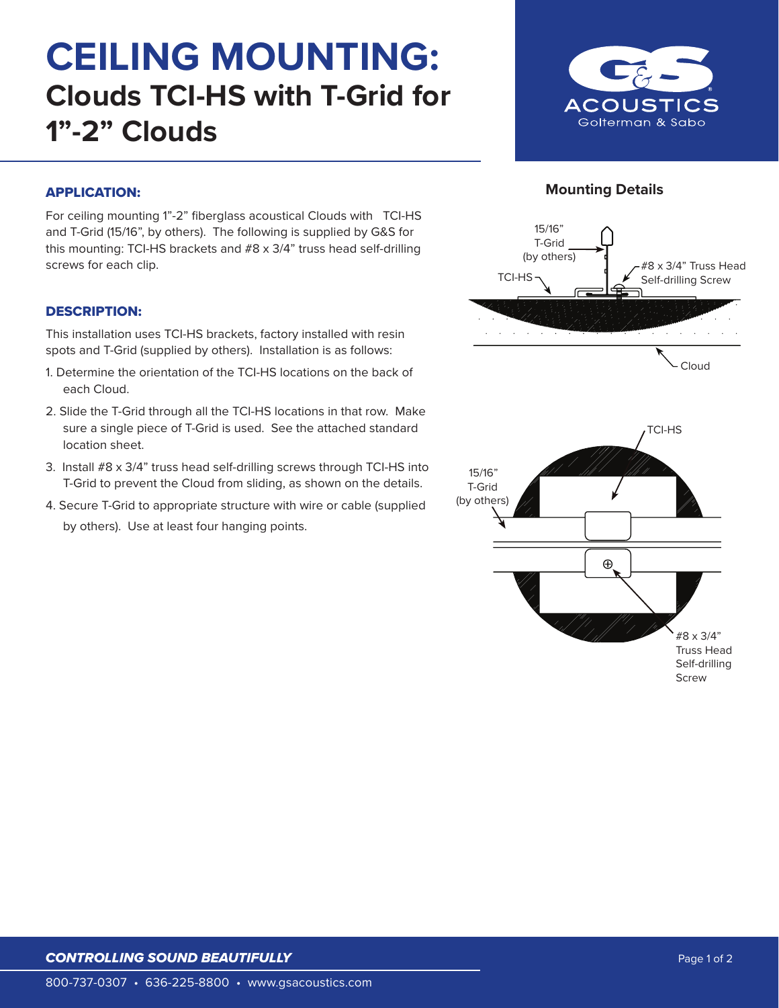# **CEILING MOUNTING: Clouds TCI-HS with T-Grid for 1"-2" Clouds**





## APPLICATION:

For ceiling mounting 1"-2" fiberglass acoustical Clouds with TCI-HS and T-Grid (15/16", by others). The following is supplied by G&S for this mounting: TCI-HS brackets and #8 x 3/4" truss head self-drilling screws for each clip.

### DESCRIPTION:

This installation uses TCI-HS brackets, factory installed with resin spots and T-Grid (supplied by others). Installation is as follows:

- 1. Determine the orientation of the TCI-HS locations on the back of each Cloud.
- 2. Slide the T-Grid through all the TCI-HS locations in that row. Make sure a single piece of T-Grid is used. See the attached standard location sheet.
- 3. Install #8 x 3/4" truss head self-drilling screws through TCI-HS into T-Grid to prevent the Cloud from sliding, as shown on the details.
- 4. Secure T-Grid to appropriate structure with wire or cable (supplied by others). Use at least four hanging points.

# *CONTROLLING SOUND BEAUTIFULLY*